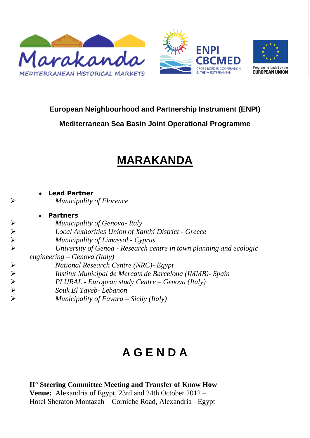



**Mediterranean Sea Basin Joint Operational Programme**

## **MARAKANDA**

**Lead Partner** *Municipality of Florence* **Partners** *►*<br> *Municipality of Genova-Italy*<br> *Local Authorities Union of Xa*<br> *Municipality of Limassol - Cy*<br> *Vniversity of Genoa - Researcengineering – Genova (Italy)*<br> **A**<br> *Municipal de Mercats*<br> *PLURAL - European study Ce Local Authorities Union of Xanthi District - Greece Municipality of Limassol - Cyprus University of Genoa - Research centre in town planning and ecologic engineering – Genova (Italy) National Research Centre (NRC)- Egypt Institut Municipal de Mercats de Barcelona (IMMB)- Spain PLURAL - European study Centre – Genova (Italy) Souk El Tayeb- Lebanon Municipality of Favara – Sicily (Italy)*

# **A G E N D A**

**II° Steering Committee Meeting and Transfer of Know How Venue:** Alexandria of Egypt, 23rd and 24th October 2012 – Hotel Sheraton Montazah – Corniche Road, Alexandria - Egypt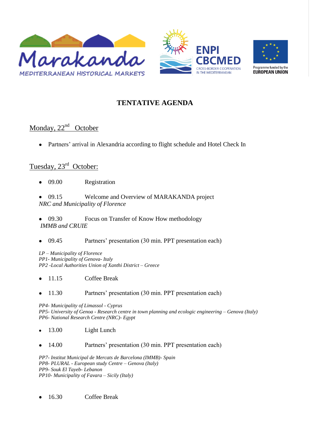



### **TENTATIVE AGENDA**

### Monday, 22<sup>nd</sup> October

Partners' arrival in Alexandria according to flight schedule and Hotel Check In  $\bullet$ 

#### Tuesday, 23<sup>rd</sup> October:

- 09.00 Registration  $\bullet$
- 09.15 Welcome and Overview of MARAKANDA project *NRC and Municipality of Florence*
- 09.30 Focus on Transfer of Know How methodology *IMMB and CRUIE*
- 09.45 Partners' presentation (30 min. PPT presentation each)

*LP – Municipality of Florence PP1- Municipality of Genova- Italy PP2 -Local Authorities Union of Xanthi District – Greece*

- 11.15 Coffee Break
- 11.30 Partners' presentation (30 min. PPT presentation each)  $\bullet$

*PP4- Municipality of Limassol - Cyprus PP5- University of Genoa - Research centre in town planning and ecologic engineering – Genova (Italy) PP6- National Research Centre (NRC)- Egypt*

- 13.00 Light Lunch  $\bullet$
- 14.00 Partners' presentation (30 min. PPT presentation each)

*PP7- Institut Municipal de Mercats de Barcelona (IMMB)- Spain PP8- PLURAL - European study Centre – Genova (Italy) PP9- Souk El Tayeb- Lebanon PP10- Municipality of Favara – Sicily (Italy)*

16.30 Coffee Break